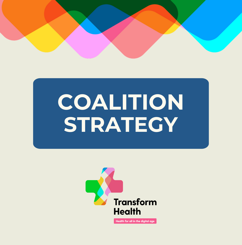

# **COALITION STRATEGY**

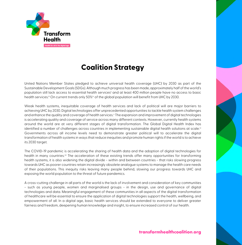

# **Coalition Strategy**

United Nations Member States pledged to achieve universal health coverage (UHC)i by 2030 as part of the Sustainable Development Goals (SDGs). Although much progress has been made, approximately half of the world's population still lack access to essential health servicesii and at least 400 million people have no access to basic health services.<sup>ii</sup> On current trends only 50%<sup>iv</sup> of the global population will benefit from UHC by 2030.

Weak health systems, inequitable coverage of health services and lack of political will are major barriers to achieving UHC by 2030. Digital technologies offer unprecedented opportunities to tackle health system challenges and enhance the quality and coverage of health services.<sup>v</sup> The expansion and improvement of digital technologies is accelerating quality and coverage of service across many different contexts. However, currently health systems around the world are at very different stages of digital transformation. The Global Digital Health Index has identified a number of challenges across countries in implementing sustainable digital health solutions at scale.<sup>vi</sup> Governments across all income levels need to demonstrate greater political will to accelerate the digital transformation of health systems in ways that reduce inequities and promote human rights if the world is to achieve its 2030 target.

The COVID-19 pandemic is accelerating the sharing of health data and the adoption of digital technologies for health in many countries.<sup>vii</sup> The acceleration of these existing trends offer many opportunities for transforming health systems, it is also widening the digital divide - within and between countries - that risks slowing progress towards UHC as poorer countries retain increasingly obsolete analogue systems to manage the health care needs of their populations. This inequity risks leaving many people behind, slowing our progress towards UHC and exposing the world population to the threat of future pandemics.

A cross-cutting challenge in all parts of the world is the lack of involvement and consideration of key communities - such as young people, women and marginalised groups - in the design, use and governance of digital technologies and data. Meaningful engagement of these communities in all aspects of the digital transformation of healthcare will be essential to ensure the application of digital technologies support the health, wellbeing, and empowerment of all. In a digital age, basic health services should be extended to everyone to deliver greater fairness and freedom, deepening human knowledge and insight, to ensure increased control of our health.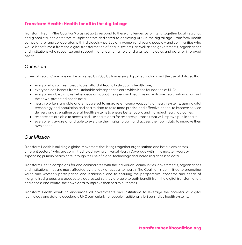## **Transform Health: Health for all in the digital age**

Transform Health ('the Coalition') was set up to respond to these challenges by bringing together local, regional, and global stakeholders from multiple sectors dedicated to achieving UHC in the digital age. Transform Health campaigns for and collaborates with individuals – particularly women and young people – and communities who would benefit most from the digital transformation of health systems, as well as the governments, organisations and institutions who recognize and support the fundamental role of digital technologies and data for improved health.

## *Our vision*

Universal Health Coverage will be achieved by 2030 by harnessing digital technology and the use of data, so that:

- everyone has access to equitable, affordable, and high-quality healthcare;
- everyone can benefit from sustainable primary health care which is the foundation of UHC;
- everyone is able to make better decisions about their personal health using real-time health information and their own, protected health data;
- health workers are able and empowered to improve efficiency/capacity of health systems, using digital technology and population and health data to take more precise and effective action, to improve service delivery and strengthen overall health systems to ensure better public and individual health outcomes;
- researchers are able to access and use health data for research purposes that will improve public health;
- everyone is aware of and able to exercise their rights to own and access their own data to improve their own health.

## *Our Mission*

Transform Health is building a global movement that brings together organisations and institutions across different sectors<sup>viii</sup> who are committed to achieving Universal Health Coverage within the next ten years by expanding primary health care through the use of digital technology and increasing access to data.

Transform Health campaigns for and collaborates with the individuals, communities, governments, organisations and institutions that are most affected by the lack of access to health. The Coalition is committed to promoting youth and women's participation and leadership and to ensuring the perspectives, concerns and needs of marginalised groups are adequately addressed so they are able to both benefit from the digital transformation, and access and control their own data to improve their health outcomes.

Transform Health wants to encourage all governments and institutions to leverage the potential of digital technology and data to accelerate UHC particularly for people traditionally left behind by health systems.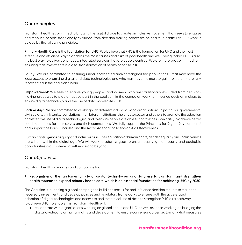## *Our principles*

Transform Health is committed to bridging the digital divide to create an inclusive movement that seeks to engage and mobilise people traditionally excluded from decision making processes on health in particular. Our work is guided by the following principles:

Primary Health Care is the foundation for UHC: We believe that PHC is the foundation for UHC and the most effective and efficient way to address the main causes and risks of poor health and well-being today. PHC is also the best way to deliver continuous, integrated services that are people centred. We are therefore committed to ensuring that investments in digital transformation of health prioritise PHC.

Equity: We are committed to ensuring underrepresented and/or marginalised populations - that may have the least access to promising digital and data technologies and who may have the most to gain from them - are fully represented in the coalition's work.

Empowerment: We seek to enable young people<sup>ix</sup> and women, who are traditionally excluded from decisionmaking processes to play an active part in the coalition, in the campaign work to influence decision makers to ensure digital technology and the use of data accelerates UHC.

Partnership: We are committed to working with different individuals and organisations, in particular, governments, civil society, think tanks, foundations, multilateral institutions, the private sector and others to promote the adoption and effective use of digital technologies, and to ensure people are able to control their own data, to achieve better health outcomes for themselves and their communities. We fully support the Principles for Digital Development,<sup>x</sup> and support the Paris Principles and the Accra Agenda for Action on Aid Effectiveness.<sup>xi</sup>

Human rights, gender equity and inclusiveness: The realisation of human rights, gender equality and inclusiveness are critical within the digital age. We will work to address gaps to ensure equity, gender equity and equitable opportunities in our spheres of influence and beyond.

## *Our objectives*

Transform Health advocates and campaigns for:

#### **1.** Recognition of the fundamental role of digital technologies and data use to transform and strengthen health systems to expand primary health care which is an essential foundation for achieving UHC by 2030

The Coalition is launching a global campaign to build consensus for and influence decision makers to make the necessary investments and develop policies and regulatory frameworks to ensure both the accelerated adoption of digital technologies and access to and the ethical use of data to strengthen PHC as a pathway to achieve UHC. To enable this Transform Health will:

● collaborate with organisations working on global health and UHC, as well as those working on bridging the digital divide, and on human rights and development to ensure consensus across sectors on what measures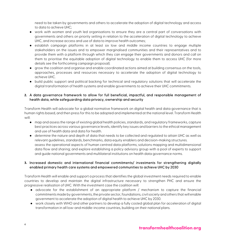need to be taken by governments and others to accelerate the adoption of digital technology and access to data to achieve UHC;

- work with women and youth led organisations to ensure they are a central part of conversations with governments and others on priority setting in relation to the acceleration of digital technology to achieve UHC, and increase access and use of data to improve health outcomes;
- establish campaign platforms in at least six low and middle income countries to engage multiple stakeholders on the issues and to empower marginalised communities and their representatives and to provide them with a platform through which they can engage their governments and donors and call on them to prioritise the equitable adoption of digital technology to enable them to access UHC (for more details see the forthcoming campaign proposal).
- grow the coalition and organise and enable coordinated actions aimed at building consensus on the tools, approaches, processes and resources necessary to accelerate the adoption of digital technology to achieve UHC.
- build public support and political backing for technical and regulatory solutions that will accelerate the digital transformation of health systems and enable governments to achieve their UHC commitments.

#### **2.** A data governance framework to allow for full beneficial, impactful, and responsible management of health data, while safeguarding data privacy, ownership and security

Transform Health will advocate for a global normative framework on digital health and data governance that is human rights based, and then press for this to be adopted and implemented at the national level. Transform Health will:

- map and assess the range of existing global health policies, standards, and regulatory frameworks, capture best practices across various governance levels, identify key issues and barriers to the ethical management and use of health data and data for health.
- determine the nature and depth of data that needs to be collected and regulated to attain UHC as well as relevant guidelines, standards, benchmarks, data equity enablers and decision-making structures. assess the operational aspects of human centred data platforms; solutions mapping and multidimensional data flow and sharing; and explore establishing a policy advisory group with a pool of experts to support and guide national governments and multilateral institutions on health data governance norms.

#### **3.** Increased domestic and international financial commitments/ investments for strengthening digitally enabled primary health care systems and empowered communities to achieve UHC by 2030

Transform Health will enable and support a process that identifies the global investment needs required to enable countries to develop and maintain the digital infrastructure necessary to strengthen PHC and ensure the progressive realisation of UHC. With the investment case the coalition will:

- advocate for the establishment of an appropriate platform / mechanism to capture the financial commitments made by governments, the private sector, foundations, civil society and others that will enable government to accelerate the adoption of digital health to achieve UHC by 2030.
- work closely with WHO and other partners to develop a fully costed global plan for acceleration of digital transformation in all low-and middle-income countries, building on their national plans.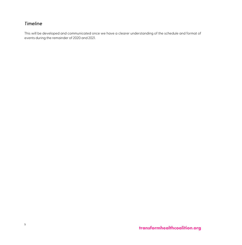## *Timeline*

This will be developed and communicated once we have a clearer understanding of the schedule and format of events during the remainder of 2020 and 2021.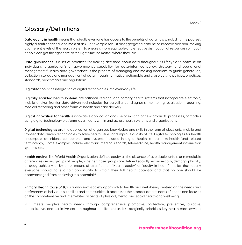# Glossary/Definitions

Data equity in health means that ideally everyone has access to the benefits of data flows, including the poorest, highly disenfranchised, and most at risk. For example robust disaggregated data helps improve decision-making at different levels of the health system to ensure a more equitable and effective distribution of resources so that all people can get the right care at the right time, no matter where they live.

Data governance is a set of practices for making decisions about data throughout its lifecycle to optimise an individual's, organisation's or government's capability for data-informed policy, strategy, and operational management.xii Health data governance is the process of managing and making decisions to guide generation, collection, storage and management of data through normative, actionable and cross-cutting policies, practices, standards, benchmarks and regulations.

Digitalisation is the integration of digital technologies into everyday life.

Digitally enabled health systems are national, regional and primary health systems that incorporate electronic, mobile and/or frontier data-driven technologies for surveillance, diagnosis, monitoring, evaluation, reporting, medical recording and other forms of health and care delivery.

Digital innovation for health is innovative application and use of existing or new products, processes, or models using digital technology platforms as a means within and across health systems and organisations.

Digital technologies are the application of organised knowledge and skills in the form of electronic, mobile and frontier data-driven technologies to solve health issues and improve quality of life. Digital technologies for health encompass definitions, components and systems included in digital health, e-health, m-health [and related terminology]. Some examples include electronic medical records, telemedicine, health management information systems, etc.

Health equity: The World Health Organization defines equity as the absence of avoidable, unfair, or remediable differences among groups of people, whether those groups are defined socially, economically, demographically, or geographically or by other means of stratification. "Health equity" or "equity in health" implies that ideally everyone should have a fair opportunity to attain their full health potential and that no one should be disadvantaged from achieving this potential.<sup>xiii</sup>

Primary Health Care (PHC) is a whole-of-society approach to health and well-being centred on the needs and preferences of individuals, families and communities. It addresses the broader determinants of health and focuses on the comprehensive and interrelated aspects of physical, mental and social health and wellbeing.

PHC meets people's health needs through comprehensive promotive, protective, preventive, curative, rehabilitative, and palliative care throughout the life course. It strategically prioritises key health care services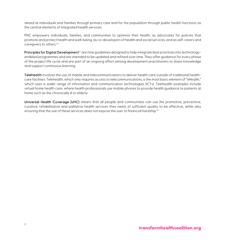aimed at individuals and families through primary care and for the population through public health functions as the central elements of integrated health services.

PHC empowers individuals, families, and communities to optimise their health, as advocates for policies that promote and protect health and well-being, as co-developers of health and social services, and as self-carers and caregivers to others. xiv

Principles for Digital Development<sup>xv</sup> are nine guidelines designed to help integrate best practices into technologyenabled programmes and are intended to be updated and refined over time. They offer guidance for every phase of the project life cycle and are part of an ongoing effort among development practitioners to share knowledge and support continuous learning.

Telehealth involves the use of mobile and telecommunications to deliver health care outside of traditional healthcare facilities. Telehealth, which only requires access to telecommunications, is the most basic element of "eHealth," which uses a wider range of information and communication technologies (ICTs). Telehealth examples include virtual home health care, where health professionals use mobile phones to provide health guidance to patients at home such as the chronically ill or elderly.

Universal Health Coverage (UHC) means that all people and communities can use the promotive, preventive, curative, rehabilitative and palliative health services they need, of sufficient quality to be effective, while also ensuring that the use of these services does not expose the user to financial hardship.<sup>xvi</sup>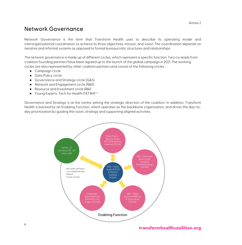## Network Governance

Network Governance is the term that Transform Health uses to describe its operating model and interorganisational coordination to achieve its three objectives, mission, and vision. The coordination depends on iterative and informal systems as opposed to formal bureaucratic structures and relationships.

The network governance is made up of different circles, which represent a specific function. Two co-leads from coalition founding partners have been agreed up to the launch of the global campaign in 2021. The working circles are also represented by other coalition partners and consist of the following circles:

- Campaign circle
- Data Policy circle
- Governance and Strategy circle (G&S)
- Network and Engagement circle (N&E)
- Resource and Investment circle (R&I)
- Young Experts: Tech for Health (YET4H)<sup>xvii</sup>

Governance and Strategy is at the centre setting the strategic direction of the coalition. In addition, Transform Health is backed by an Enabling Function, which operates as the backbone organisation, and drives the day-today prioritization by guiding the vision, strategy and supporting aligned activities.

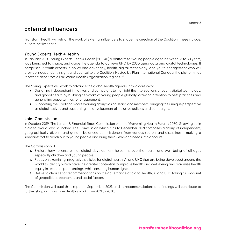# External influencers

Transform Health will rely on the work of external influencers to shape the direction of the Coalition. These include, but are not limited to:

#### Young Experts: Tech 4 Health

In January 2020 Young Experts: Tech 4 Health (YE: T4H) a platform for young people aged between 18 to 30 years, was launched to shape, and guide the agenda to achieve UHC by 2030 using data and digital technologies. It comprises 12 youth experts in policy and advocacy, health, digital technology, and youth engagement who will provide independent insight and counsel to the Coalition. Hosted by Plan International Canada, the platform has representation from all six World Health Organization regions.<sup>xviii</sup>

The Young Experts will work to advance the global health agenda in two core ways:

- Designing independent initiatives and campaigns to highlight the intersections of youth, digital technology, and global health by building networks of young people globally, drawing attention to best practices and generating opportunities for engagement.
- Supporting the Coalition's core working groups as co-leads and members, bringing their unique perspective as digital natives and supporting the development of inclusive policies and campaigns.

#### Joint Commission

In October 2019, The Lancet & Financial Times Commission entitled 'Governing Health Futures 2030: Growing up in a digital world' was launched. The Commission which runs to December 2021 comprises a group of independent, geographically-diverse and gender-balanced commissioners from various sectors and disciplines – making a special effort to reach out to young people and bring their views and needs into account.

The Commission will:

- 1. Explore how to ensure that digital development helps improve the health and well-being of all ages especially children and young people.
- 2. Focus on examining integrative policies for digital health, AI and UHC that are being developed around the world to identify which have the greatest potential to improve health and well-being and maximise health equity in resource poor settings, while ensuring human rights.
- 3. Deliver a clear set of recommendations on the governance of digital health, AI and UHC taking full account of geopolitical, economic, and social factors.

The Commission will publish its report in September 2021, and its recommendations and findings will contribute to further shaping Transform Health's work from 2021 to 2030.